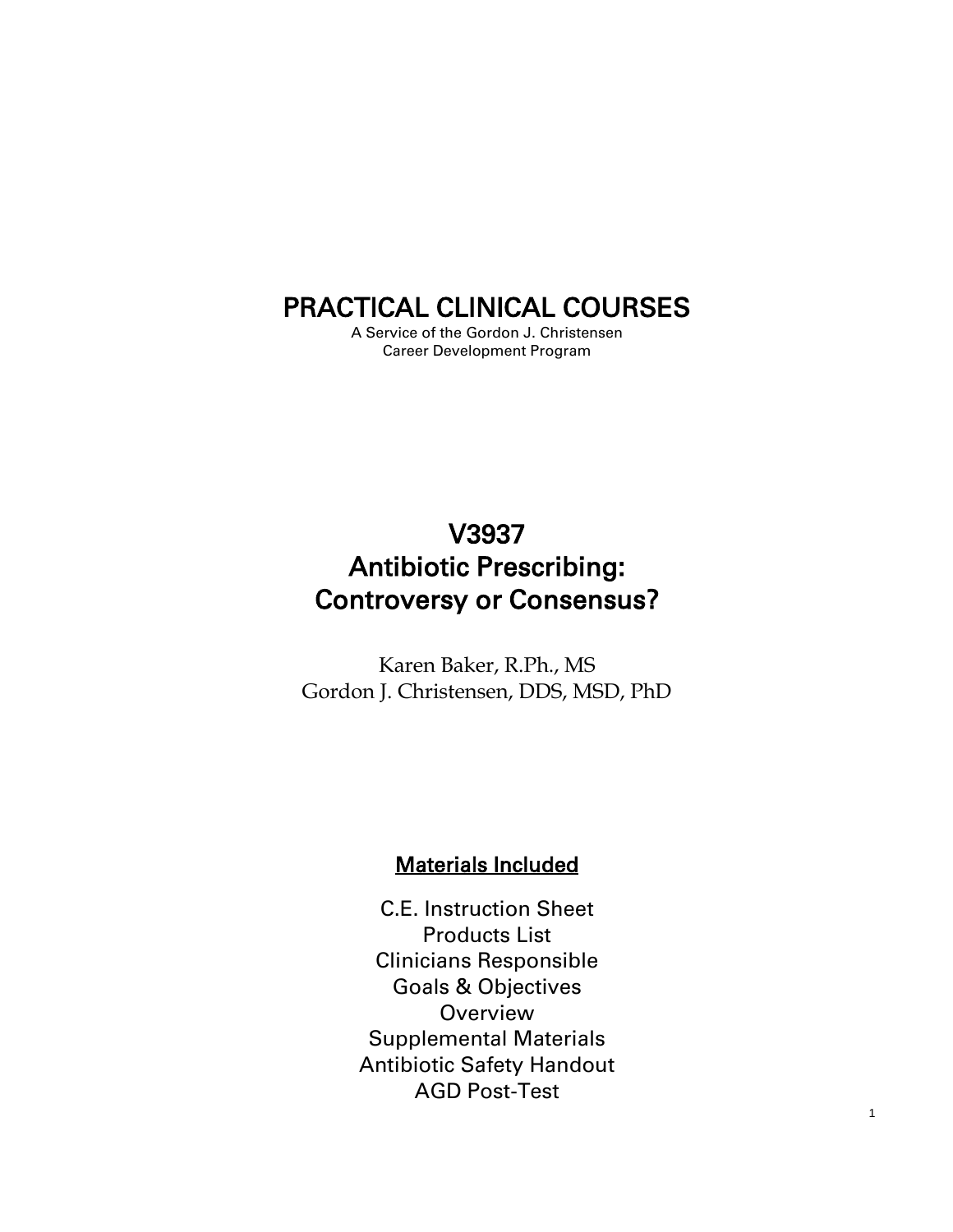## PRACTICAL CLINICAL COURSES

A Service of the Gordon J. Christensen Career Development Program

# V3937 Antibiotic Prescribing: Controversy or Consensus?

Karen Baker, R.Ph., MS Gordon J. Christensen, DDS, MSD, PhD

#### Materials Included

C.E. Instruction Sheet Products List Clinicians Responsible Goals & Objectives **Overview** Supplemental Materials Antibiotic Safety Handout AGD Post-Test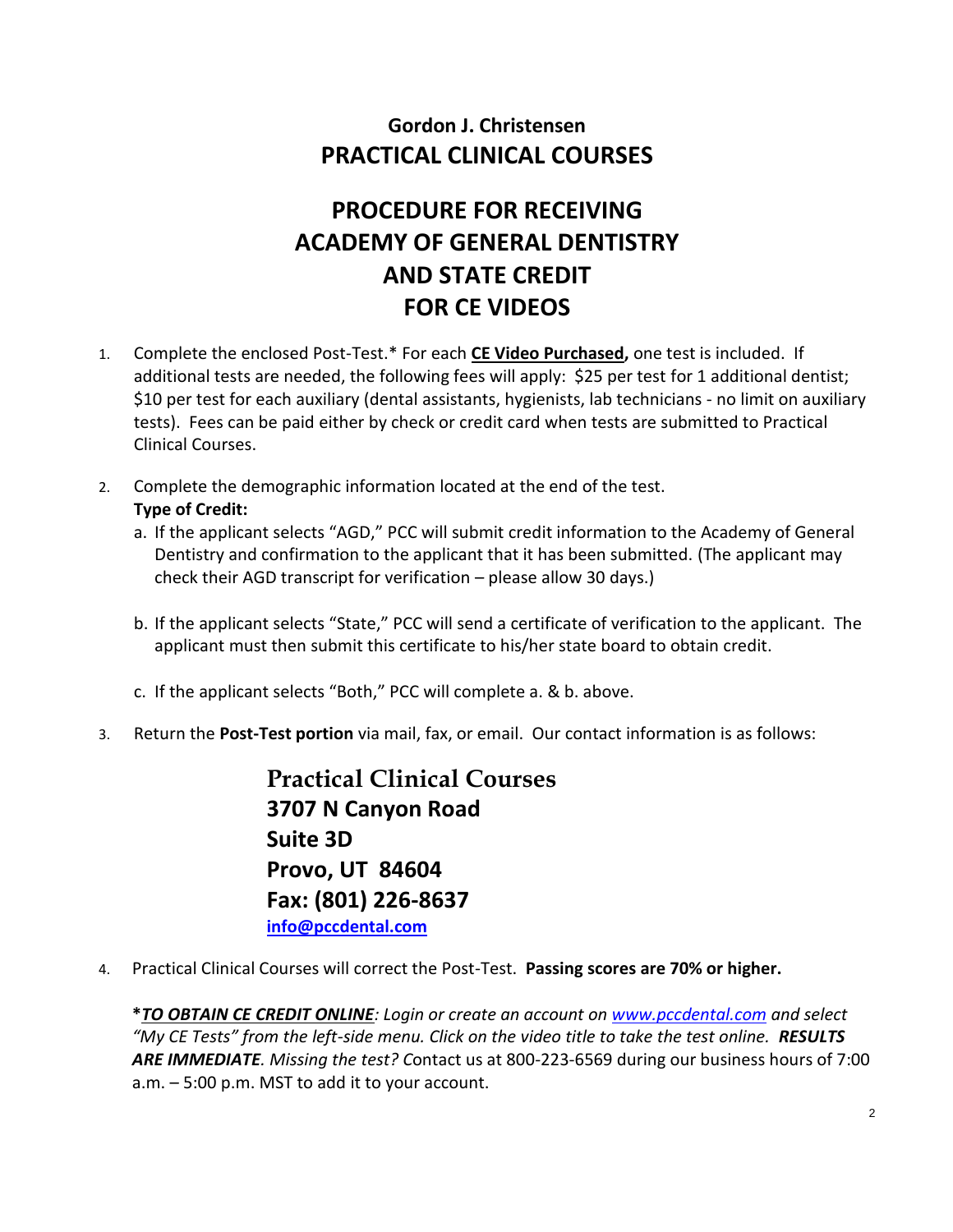### **Gordon J. Christensen PRACTICAL CLINICAL COURSES**

# **PROCEDURE FOR RECEIVING ACADEMY OF GENERAL DENTISTRY AND STATE CREDIT FOR CE VIDEOS**

- 1. Complete the enclosed Post-Test.\* For each **CE Video Purchased,** one test is included. If additional tests are needed, the following fees will apply: \$25 per test for 1 additional dentist; \$10 per test for each auxiliary (dental assistants, hygienists, lab technicians - no limit on auxiliary tests). Fees can be paid either by check or credit card when tests are submitted to Practical Clinical Courses.
- 2. Complete the demographic information located at the end of the test.

#### **Type of Credit:**

- a. If the applicant selects "AGD," PCC will submit credit information to the Academy of General Dentistry and confirmation to the applicant that it has been submitted. (The applicant may check their AGD transcript for verification – please allow 30 days.)
- b. If the applicant selects "State," PCC will send a certificate of verification to the applicant. The applicant must then submit this certificate to his/her state board to obtain credit.
- c. If the applicant selects "Both," PCC will complete a. & b. above.
- 3. Return the **Post-Test portion** via mail, fax, or email. Our contact information is as follows:

**Practical Clinical Courses 3707 N Canyon Road Suite 3D Provo, UT 84604 Fax: (801) 226-8637 [info@pccdental.com](mailto:info@pccdental.com)**

4. Practical Clinical Courses will correct the Post-Test. **Passing scores are 70% or higher.**

**\****TO OBTAIN CE CREDIT ONLINE: Login or create an account on [www.pccdental.com](http://www.pccdental.com/) and select "My CE Tests" from the left-side menu. Click on the video title to take the test online. RESULTS ARE IMMEDIATE. Missing the test? C*ontact us at 800-223-6569 during our business hours of 7:00 a.m. – 5:00 p.m. MST to add it to your account.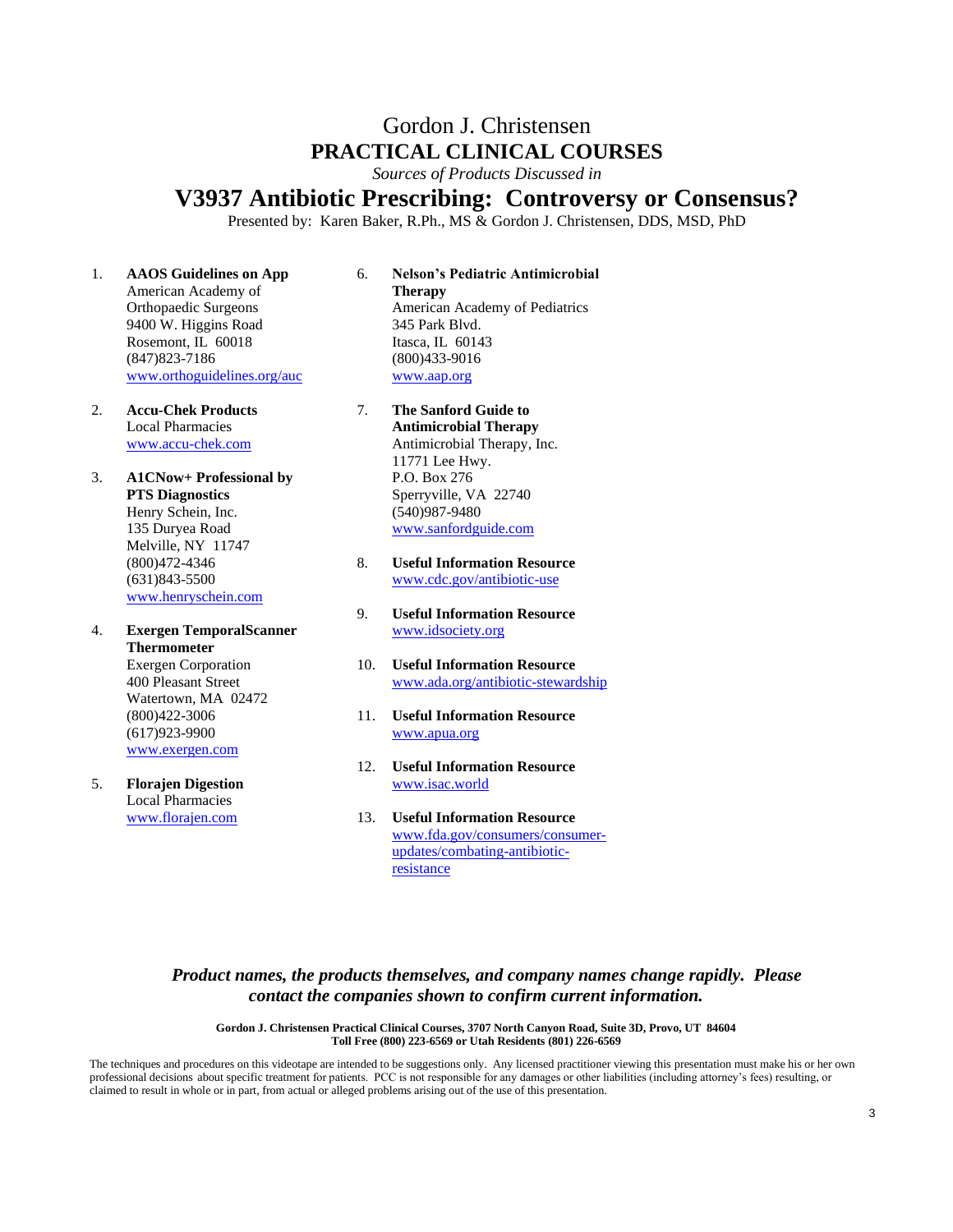### Gordon J. Christensen **PRACTICAL CLINICAL COURSES**

*Sources of Products Discussed in*

#### **V3937 Antibiotic Prescribing: Controversy or Consensus?**

Presented by: Karen Baker, R.Ph., MS & Gordon J. Christensen, DDS, MSD, PhD

1. **AAOS Guidelines on App** American Academy of Orthopaedic Surgeons 9400 W. Higgins Road Rosemont, IL 60018 (847)823-7186 [www.orthoguidelines.org/auc](http://www.orthoguidelines.org/auc)

2. **Accu-Chek Products** Local Pharmacies [www.accu-chek.com](http://www.accu-chek.com/)

- 3. **A1CNow+ Professional by PTS Diagnostics** Henry Schein, Inc. 135 Duryea Road Melville, NY 11747 (800)472-4346 (631)843-5500 [www.henryschein.com](http://www.henryschein.com/)
- 4. **Exergen TemporalScanner Thermometer** Exergen Corporation 400 Pleasant Street Watertown, MA 02472 (800)422-3006 (617)923-9900 [www.exergen.com](http://www.exergen.com/)
- 5. **Florajen Digestion** Local Pharmacies [www.florajen.com](http://www.florajen.com/)
- 6. **Nelson's Pediatric Antimicrobial Therapy** American Academy of Pediatrics 345 Park Blvd. Itasca, IL 60143 (800)433-9016 [www.aap.org](http://www.aap.org/)
- 7. **The Sanford Guide to Antimicrobial Therapy** Antimicrobial Therapy, Inc. 11771 Lee Hwy. P.O. Box 276 Sperryville, VA 22740 (540)987-9480 [www.sanfordguide.com](http://www.sanfordguide.com/)
- 8. **Useful Information Resource** [www.cdc.gov/antibiotic-use](http://www.cdc.gov/antibiotic-use)
- 9. **Useful Information Resource** [www.idsociety.org](http://www.idsociety.org/)
- 10. **Useful Information Resource** [www.ada.org/antibiotic-stewardship](http://www.ada.org/antibiotic-stewardship)
- 11. **Useful Information Resource** [www.apua.org](http://www.apua.org/)
- 12. **Useful Information Resource** [www.isac.world](http://www.isac.world/)
- 13. **Useful Information Resource** [www.fda.gov/consumers/consumer](http://www.fda.gov/consumers/consumer-updates/combating-antibiotic-resistance)[updates/combating-antibiotic](http://www.fda.gov/consumers/consumer-updates/combating-antibiotic-resistance)[resistance](http://www.fda.gov/consumers/consumer-updates/combating-antibiotic-resistance)

#### *Product names, the products themselves, and company names change rapidly. Please contact the companies shown to confirm current information.*

**Gordon J. Christensen Practical Clinical Courses, 3707 North Canyon Road, Suite 3D, Provo, UT 84604 Toll Free (800) 223-6569 or Utah Residents (801) 226-6569**

The techniques and procedures on this videotape are intended to be suggestions only. Any licensed practitioner viewing this presentation must make his or her own professional decisions about specific treatment for patients. PCC is not responsible for any damages or other liabilities (including attorney's fees) resulting, or claimed to result in whole or in part, from actual or alleged problems arising out of the use of this presentation.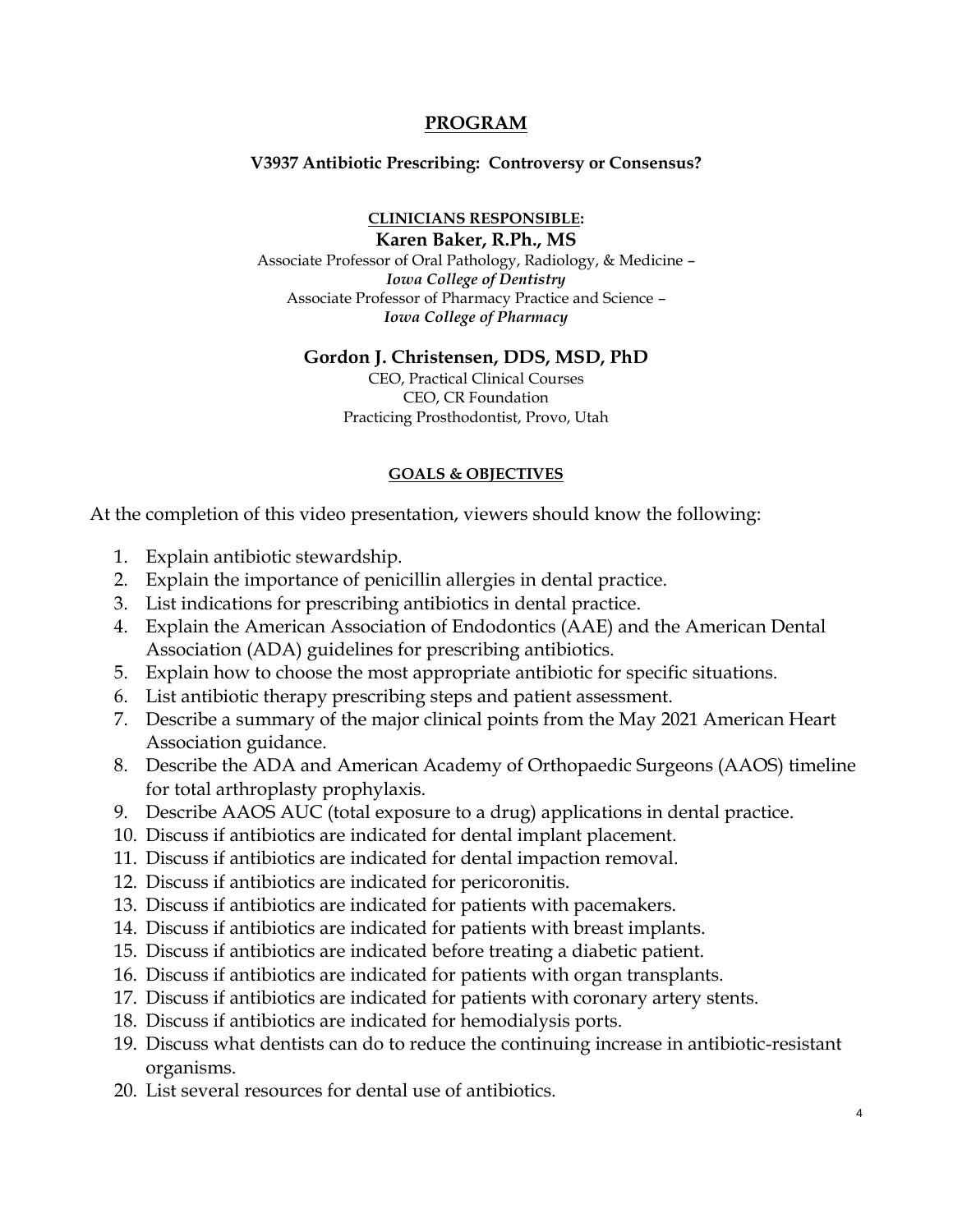#### **PROGRAM**

#### **V3937 Antibiotic Prescribing: Controversy or Consensus?**

**CLINICIANS RESPONSIBLE: Karen Baker, R.Ph., MS**

Associate Professor of Oral Pathology, Radiology, & Medicine – *Iowa College of Dentistry* Associate Professor of Pharmacy Practice and Science – *Iowa College of Pharmacy*

#### **Gordon J. Christensen, DDS, MSD, PhD**

CEO, Practical Clinical Courses CEO, CR Foundation Practicing Prosthodontist, Provo, Utah

#### **GOALS & OBJECTIVES**

At the completion of this video presentation, viewers should know the following:

- 1. Explain antibiotic stewardship.
- 2. Explain the importance of penicillin allergies in dental practice.
- 3. List indications for prescribing antibiotics in dental practice.
- 4. Explain the American Association of Endodontics (AAE) and the American Dental Association (ADA) guidelines for prescribing antibiotics.
- 5. Explain how to choose the most appropriate antibiotic for specific situations.
- 6. List antibiotic therapy prescribing steps and patient assessment.
- 7. Describe a summary of the major clinical points from the May 2021 American Heart Association guidance.
- 8. Describe the ADA and American Academy of Orthopaedic Surgeons (AAOS) timeline for total arthroplasty prophylaxis.
- 9. Describe AAOS AUC (total exposure to a drug) applications in dental practice.
- 10. Discuss if antibiotics are indicated for dental implant placement.
- 11. Discuss if antibiotics are indicated for dental impaction removal.
- 12. Discuss if antibiotics are indicated for pericoronitis.
- 13. Discuss if antibiotics are indicated for patients with pacemakers.
- 14. Discuss if antibiotics are indicated for patients with breast implants.
- 15. Discuss if antibiotics are indicated before treating a diabetic patient.
- 16. Discuss if antibiotics are indicated for patients with organ transplants.
- 17. Discuss if antibiotics are indicated for patients with coronary artery stents.
- 18. Discuss if antibiotics are indicated for hemodialysis ports.
- 19. Discuss what dentists can do to reduce the continuing increase in antibiotic-resistant organisms.
- 20. List several resources for dental use of antibiotics.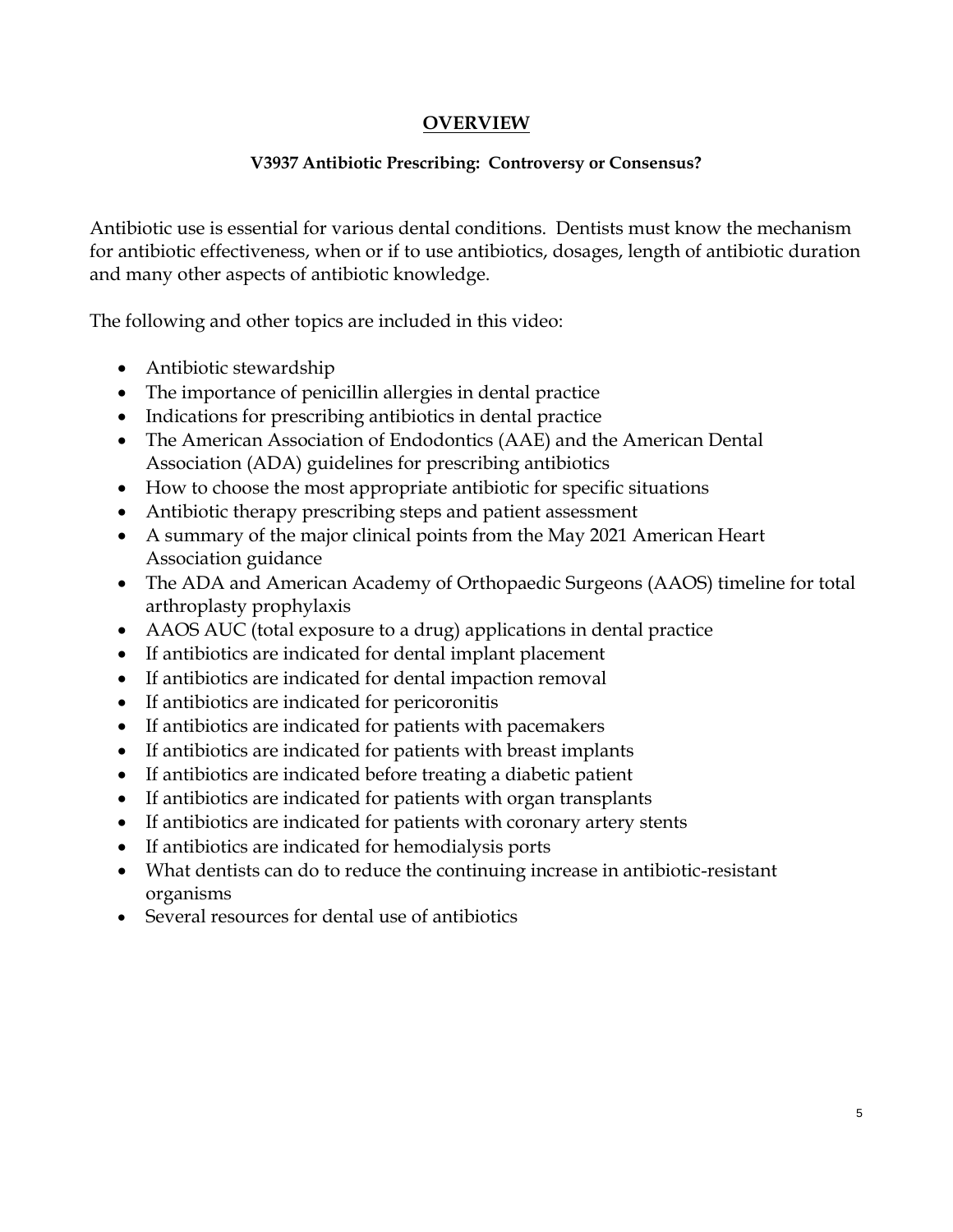#### **OVERVIEW**

#### **V3937 Antibiotic Prescribing: Controversy or Consensus?**

Antibiotic use is essential for various dental conditions. Dentists must know the mechanism for antibiotic effectiveness, when or if to use antibiotics, dosages, length of antibiotic duration and many other aspects of antibiotic knowledge.

The following and other topics are included in this video:

- Antibiotic stewardship
- The importance of penicillin allergies in dental practice
- Indications for prescribing antibiotics in dental practice
- The American Association of Endodontics (AAE) and the American Dental Association (ADA) guidelines for prescribing antibiotics
- How to choose the most appropriate antibiotic for specific situations
- Antibiotic therapy prescribing steps and patient assessment
- A summary of the major clinical points from the May 2021 American Heart Association guidance
- The ADA and American Academy of Orthopaedic Surgeons (AAOS) timeline for total arthroplasty prophylaxis
- AAOS AUC (total exposure to a drug) applications in dental practice
- If antibiotics are indicated for dental implant placement
- If antibiotics are indicated for dental impaction removal
- If antibiotics are indicated for pericoronitis
- If antibiotics are indicated for patients with pacemakers
- If antibiotics are indicated for patients with breast implants
- If antibiotics are indicated before treating a diabetic patient
- If antibiotics are indicated for patients with organ transplants
- If antibiotics are indicated for patients with coronary artery stents
- If antibiotics are indicated for hemodialysis ports
- What dentists can do to reduce the continuing increase in antibiotic-resistant organisms
- Several resources for dental use of antibiotics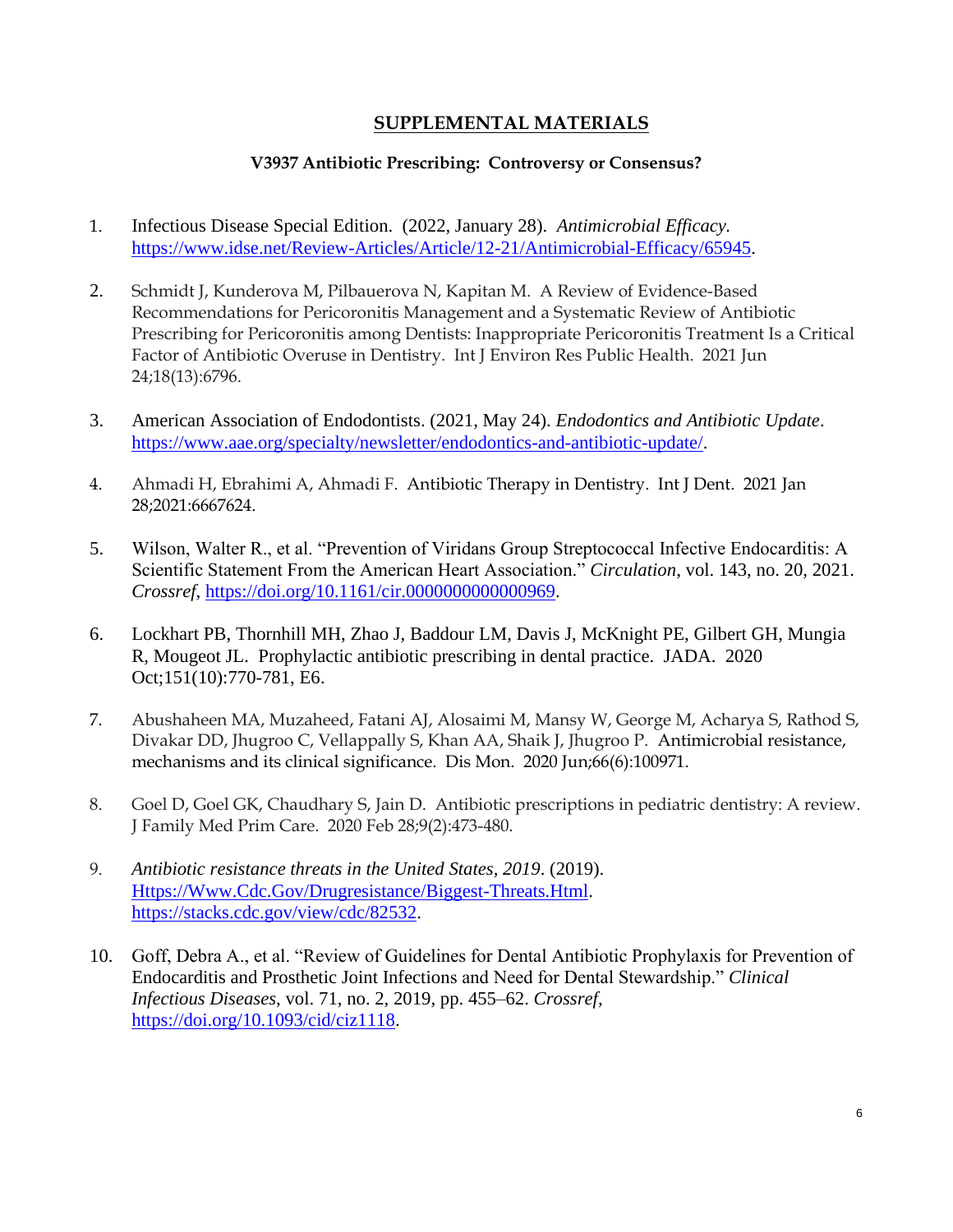#### **SUPPLEMENTAL MATERIALS**

#### **V3937 Antibiotic Prescribing: Controversy or Consensus?**

- 1. Infectious Disease Special Edition. (2022, January 28). *Antimicrobial Efficacy.* [https://www.idse.net/Review-Articles/Article/12-21/Antimicrobial-Efficacy/65945.](https://www.idse.net/Review-Articles/Article/12-21/Antimicrobial-Efficacy/65945)
- 2. Schmidt J, Kunderova M, Pilbauerova N, Kapitan M. A Review of Evidence-Based Recommendations for Pericoronitis Management and a Systematic Review of Antibiotic Prescribing for Pericoronitis among Dentists: Inappropriate Pericoronitis Treatment Is a Critical Factor of Antibiotic Overuse in Dentistry. Int J Environ Res Public Health. 2021 Jun 24;18(13):6796.
- 3. American Association of Endodontists. (2021, May 24). *Endodontics and Antibiotic Update*. [https://www.aae.org/specialty/newsletter/endodontics-and-antibiotic-update/.](https://www.aae.org/specialty/newsletter/endodontics-and-antibiotic-update/)
- 4. Ahmadi H, Ebrahimi A, Ahmadi F. Antibiotic Therapy in Dentistry. Int J Dent. 2021 Jan 28;2021:6667624.
- 5. Wilson, Walter R., et al. "Prevention of Viridans Group Streptococcal Infective Endocarditis: A Scientific Statement From the American Heart Association." *Circulation*, vol. 143, no. 20, 2021. *Crossref*, [https://doi.org/10.1161/cir.0000000000000969.](https://doi.org/10.1161/cir.0000000000000969)
- 6. Lockhart PB, Thornhill MH, Zhao J, Baddour LM, Davis J, McKnight PE, Gilbert GH, Mungia R, Mougeot JL. Prophylactic antibiotic prescribing in dental practice. JADA. 2020 Oct;151(10):770-781, E6.
- 7. Abushaheen MA, Muzaheed, Fatani AJ, Alosaimi M, Mansy W, George M, Acharya S, Rathod S, Divakar DD, Jhugroo C, Vellappally S, Khan AA, Shaik J, Jhugroo P. Antimicrobial resistance, mechanisms and its clinical significance. Dis Mon. 2020 Jun;66(6):100971.
- 8. Goel D, Goel GK, Chaudhary S, Jain D. Antibiotic prescriptions in pediatric dentistry: A review. J Family Med Prim Care. 2020 Feb 28;9(2):473-480.
- 9. *Antibiotic resistance threats in the United States, 2019*. (2019). [Https://Www.Cdc.Gov/Drugresistance/Biggest-Threats.Html.](https://www.cdc.gov/Drugresistance/Biggest-Threats.Html) [https://stacks.cdc.gov/view/cdc/82532.](https://stacks.cdc.gov/view/cdc/82532)
- 10. Goff, Debra A., et al. "Review of Guidelines for Dental Antibiotic Prophylaxis for Prevention of Endocarditis and Prosthetic Joint Infections and Need for Dental Stewardship." *Clinical Infectious Diseases*, vol. 71, no. 2, 2019, pp. 455–62. *Crossref*, [https://doi.org/10.1093/cid/ciz1118.](https://doi.org/10.1093/cid/ciz1118)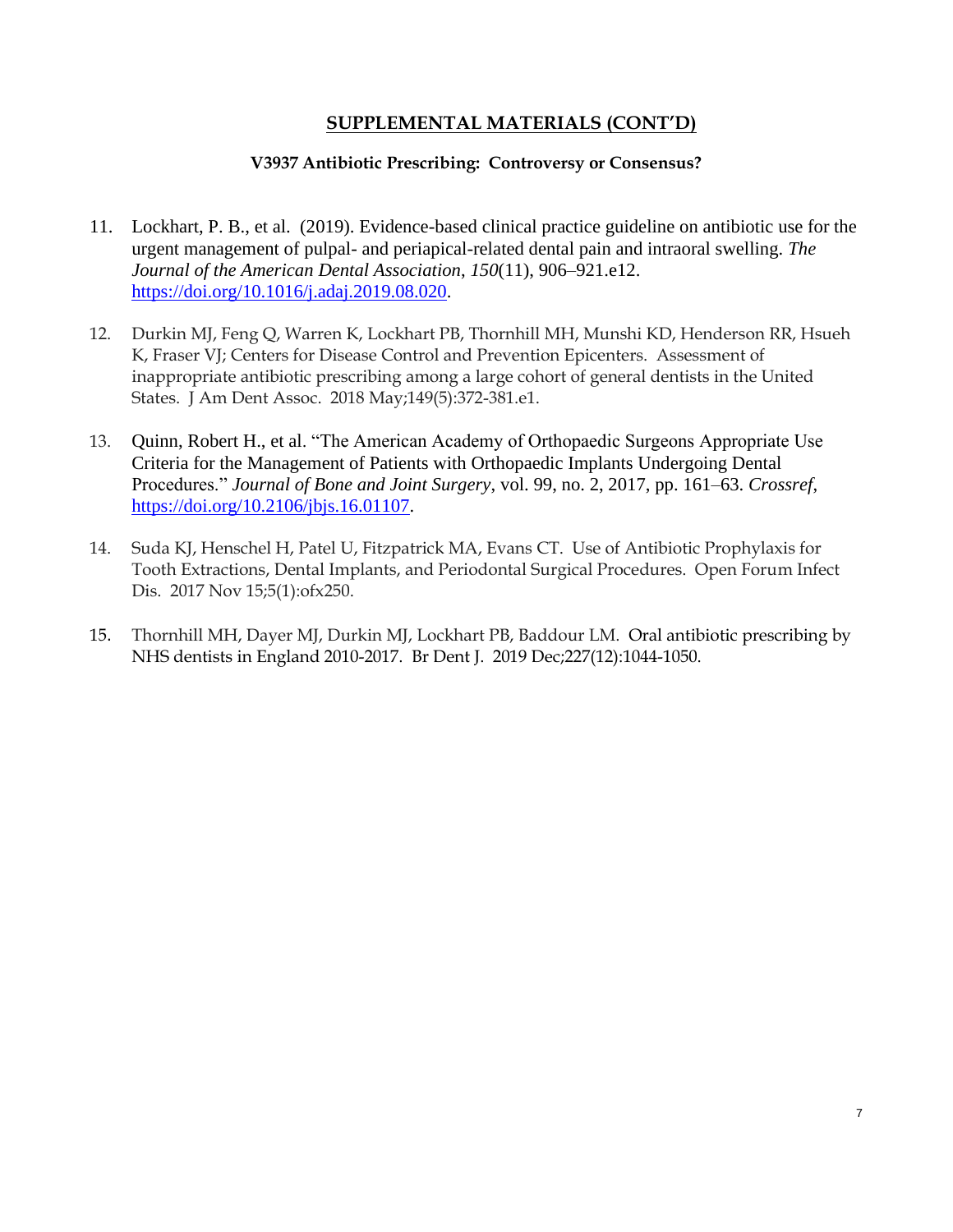#### **SUPPLEMENTAL MATERIALS (CONT'D)**

#### **V3937 Antibiotic Prescribing: Controversy or Consensus?**

- 11. Lockhart, P. B., et al. (2019). Evidence-based clinical practice guideline on antibiotic use for the urgent management of pulpal- and periapical-related dental pain and intraoral swelling. *The Journal of the American Dental Association*, *150*(11), 906–921.e12. [https://doi.org/10.1016/j.adaj.2019.08.020.](https://doi.org/10.1016/j.adaj.2019.08.020)
- 12. Durkin MJ, Feng Q, Warren K, Lockhart PB, Thornhill MH, Munshi KD, Henderson RR, Hsueh K, Fraser VJ; Centers for Disease Control and Prevention Epicenters. Assessment of inappropriate antibiotic prescribing among a large cohort of general dentists in the United States. J Am Dent Assoc. 2018 May;149(5):372-381.e1.
- 13. Quinn, Robert H., et al. "The American Academy of Orthopaedic Surgeons Appropriate Use Criteria for the Management of Patients with Orthopaedic Implants Undergoing Dental Procedures." *Journal of Bone and Joint Surgery*, vol. 99, no. 2, 2017, pp. 161–63. *Crossref*, [https://doi.org/10.2106/jbjs.16.01107.](https://doi.org/10.2106/jbjs.16.01107)
- 14. Suda KJ, Henschel H, Patel U, Fitzpatrick MA, Evans CT. Use of Antibiotic Prophylaxis for Tooth Extractions, Dental Implants, and Periodontal Surgical Procedures. Open Forum Infect Dis. 2017 Nov 15;5(1):ofx250.
- 15. Thornhill MH, Dayer MJ, Durkin MJ, Lockhart PB, Baddour LM. Oral antibiotic prescribing by NHS dentists in England 2010-2017. Br Dent J. 2019 Dec;227(12):1044-1050.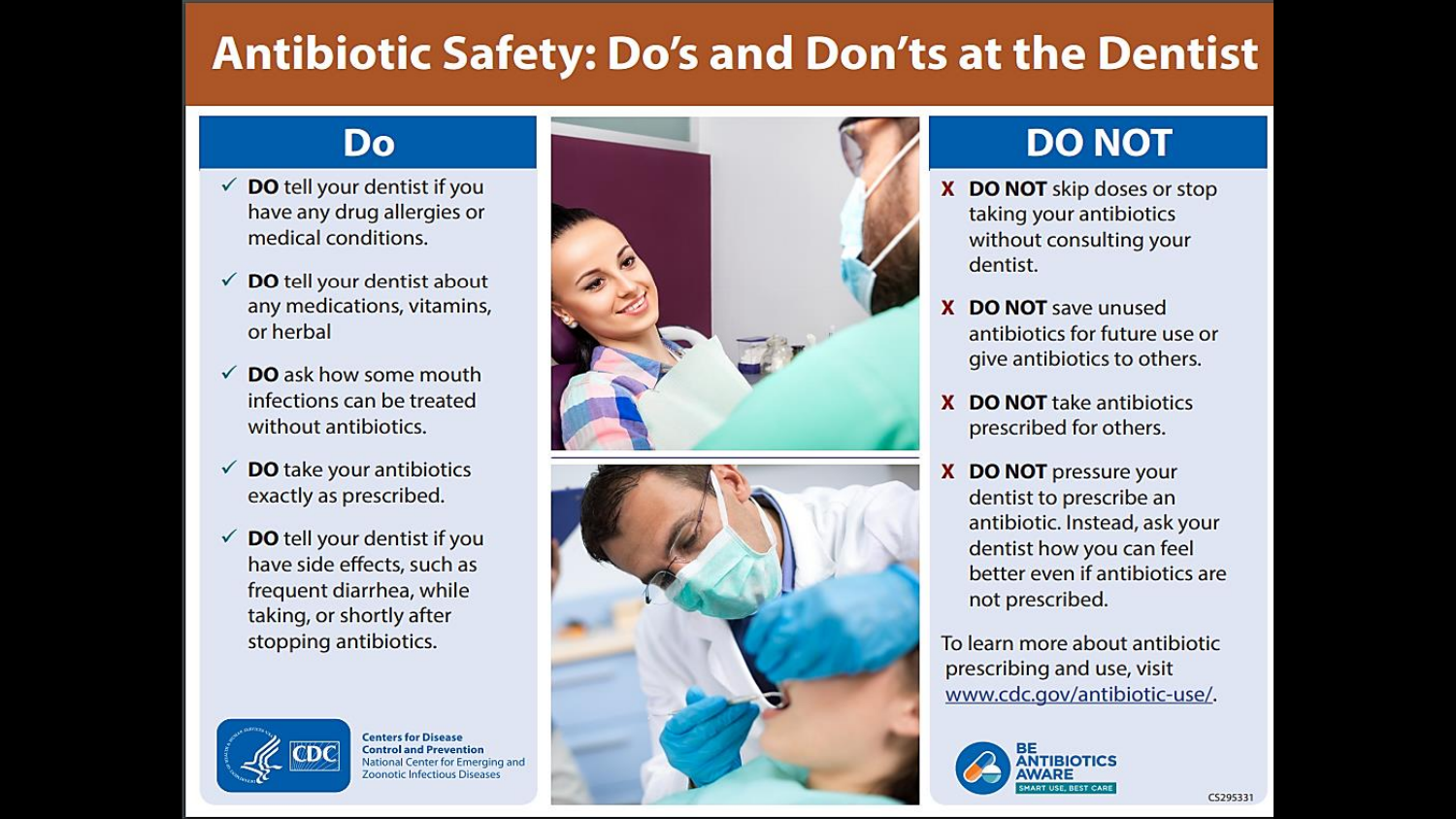# **Antibiotic Safety: Do's and Don'ts at the Dentist**

# Do

- $\checkmark$  DO tell your dentist if you have any drug allergies or medical conditions.
- $\checkmark$  DO tell your dentist about any medications, vitamins, or herbal
- $\checkmark$  DO ask how some mouth infections can be treated without antibiotics.
- $\checkmark$  DO take your antibiotics exactly as prescribed.
- $\checkmark$  DO tell your dentist if you have side effects, such as frequent diarrhea, while taking, or shortly after stopping antibiotics.



**Centers for Disease Control and Prevention** National Center for Emerging and **Zoonotic Infectious Diseases** 





# **DO NOT**

- X DO NOT skip doses or stop taking your antibiotics without consulting your dentist.
- **DO NOT** save unused x antibiotics for future use or give antibiotics to others.
- **DO NOT** take antibiotics  $\mathbf{x}$ prescribed for others.
- **DO NOT** pressure your x dentist to prescribe an antibiotic. Instead, ask your dentist how you can feel better even if antibiotics are not prescribed.

To learn more about antibiotic prescribing and use, visit www.cdc.gov/antibiotic-use/.

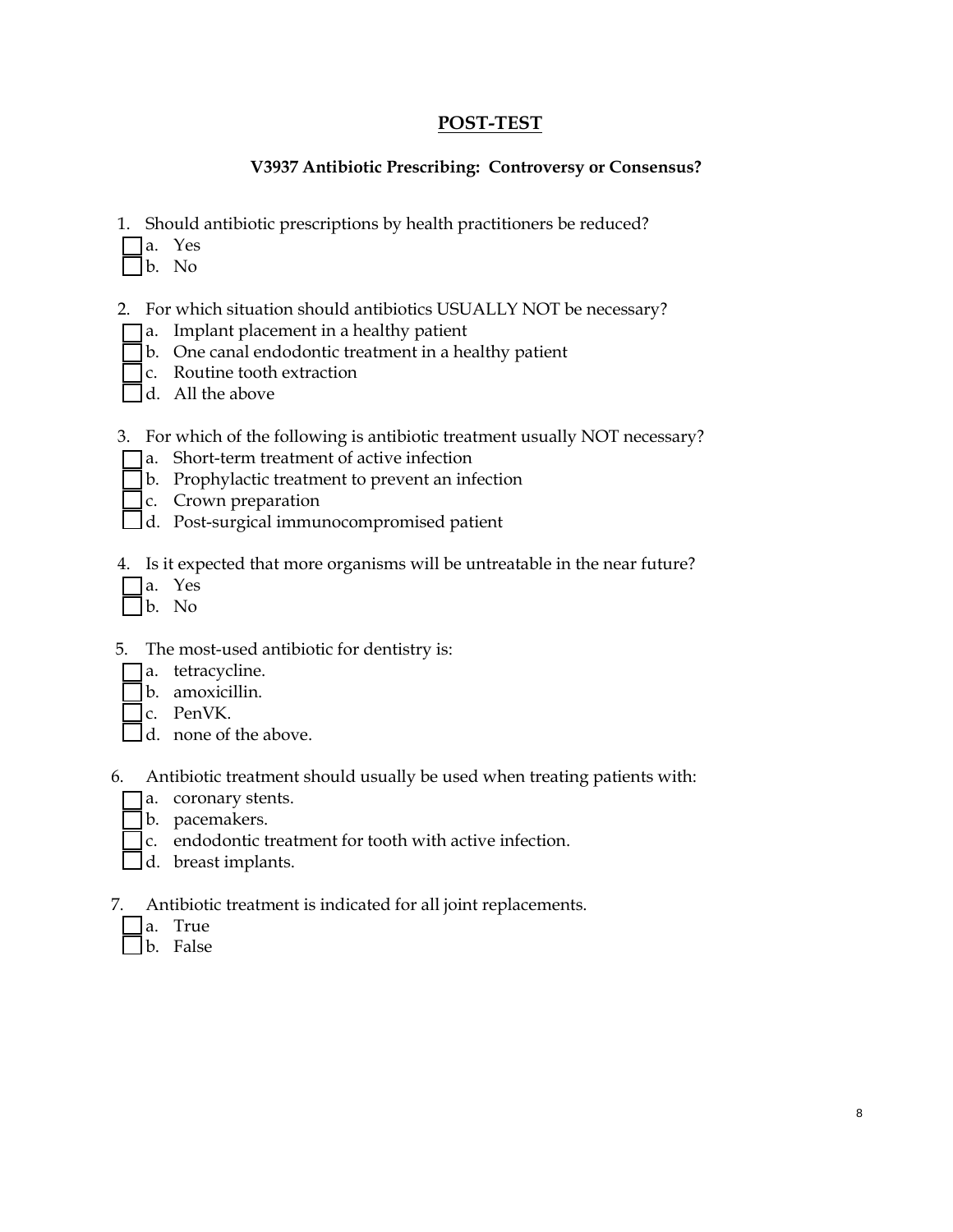#### **POST-TEST**

#### **V3937 Antibiotic Prescribing: Controversy or Consensus?**

- 1. Should antibiotic prescriptions by health practitioners be reduced?
- $\Box$ a. Yes
- b. No
- 2. For which situation should antibiotics USUALLY NOT be necessary?
- a. Implant placement in a healthy patient
- b. One canal endodontic treatment in a healthy patient
- c. Routine tooth extraction
- $\Box$ d. All the above
- 3. For which of the following is antibiotic treatment usually NOT necessary?
- a. Short-term treatment of active infection
- b. Prophylactic treatment to prevent an infection
- c. Crown preparation
- d. Post-surgical immunocompromised patient
- 4. Is it expected that more organisms will be untreatable in the near future?
- a. Yes
- b. No
- 5. The most-used antibiotic for dentistry is:
	- a. tetracycline.
	- b. amoxicillin.
	- c. PenVK.
	- d. none of the above.
- 6. Antibiotic treatment should usually be used when treating patients with:
	- a. coronary stents.
	- b. pacemakers.
	- $\Gamma$  c. endodontic treatment for tooth with active infection.
- d. breast implants.
- 7. Antibiotic treatment is indicated for all joint replacements.
	- a. True
	- b. False